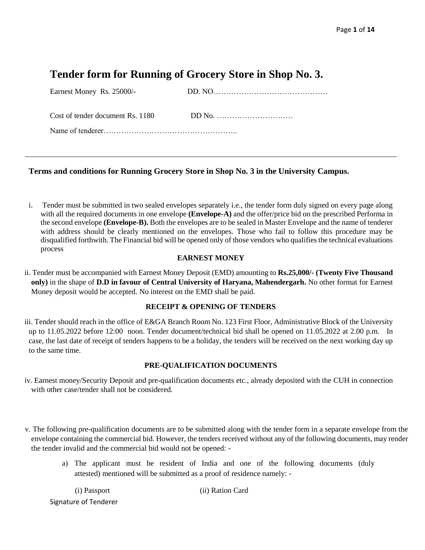# **Tender form for Running of Grocery Store in Shop No. 3.**

| Earnest Money Rs. 25000/-        |  |
|----------------------------------|--|
| Cost of tender document Rs. 1180 |  |
|                                  |  |

## **Terms and conditions for Running Grocery Store in Shop No. 3 in the University Campus.**

i. Tender must be submitted in two sealed envelopes separately i.e., the tender form duly signed on every page along with all the required documents in one envelope **(Envelope-A)** and the offer/price bid on the prescribed Performa in the second envelope **(Envelope-B).** Both the envelopes are to be sealed in Master Envelope and the name of tenderer with address should be clearly mentioned on the envelopes. Those who fail to follow this procedure may be disqualified forthwith. The Financial bid will be opened only of those vendors who qualifies the technical evaluations process

### **EARNEST MONEY**

ii. Tender must be accompanied with Earnest Money Deposit (EMD) amounting to **Rs.25,000/- (Twenty Five Thousand only)** in the shape of **D.D in favour of Central University of Haryana, Mahendergarh.** No other format for Earnest Money deposit would be accepted. No interest on the EMD shall be paid.

### **RECEIPT & OPENING OF TENDERS**

iii. Tender should reach in the office of E&GA Branch Room No. 123 First Floor, Administrative Block of the University up to 11.05.2022 before 12:00 noon. Tender document/technical bid shall be opened on 11.05.2022 at 2.00 p.m. In case, the last date of receipt of tenders happens to be a holiday, the tenders will be received on the next working day up to the same time.

### **PRE-QUALIFICATION DOCUMENTS**

- iv. Earnest money/Security Deposit and pre-qualification documents etc., already deposited with the CUH in connection with other case/tender shall not be considered.
- v. The following pre-qualification documents are to be submitted along with the tender form in a separate envelope from the envelope containing the commercial bid. However, the tenders received without any of the following documents, may render the tender invalid and the commercial bid would not be opened:
	- a) The applicant must be resident of India and one of the following documents (duly attested) mentioned will be submitted as a proof of residence namely: -

Signature of Tenderer

(i) Passport (ii) Ration Card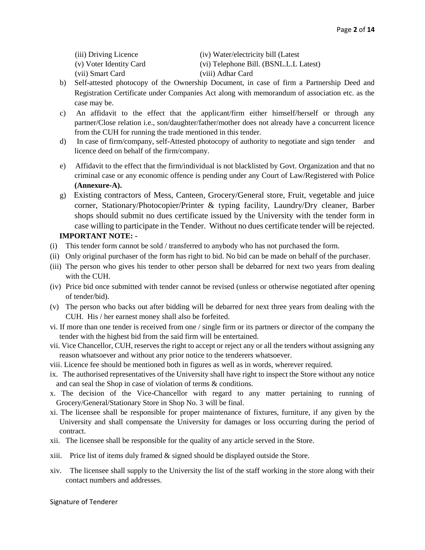(iii) Driving Licence (iv) Water/electricity bill (Latest

(v) Voter Identity Card (vi) Telephone Bill. (BSNL.L.L Latest)

- (vii) Smart Card (viii) Adhar Card
- b) Self-attested photocopy of the Ownership Document, in case of firm a Partnership Deed and Registration Certificate under Companies Act along with memorandum of association etc. as the case may be.
- c) An affidavit to the effect that the applicant/firm either himself/herself or through any partner/Close relation i.e., son/daughter/father/mother does not already have a concurrent licence from the CUH for running the trade mentioned in this tender.
- d) In case of firm/company, self-Attested photocopy of authority to negotiate and sign tender and licence deed on behalf of the firm/company.
- e) Affidavit to the effect that the firm/individual is not blacklisted by Govt. Organization and that no criminal case or any economic offence is pending under any Court of Law/Registered with Police **(Annexure-A).**
- g) Existing contractors of Mess, Canteen, Grocery/General store, Fruit, vegetable and juice corner, Stationary/Photocopier/Printer & typing facility, Laundry/Dry cleaner, Barber shops should submit no dues certificate issued by the University with the tender form in case willing to participate in the Tender. Without no dues certificate tender will be rejected.

## **IMPORTANT NOTE: -**

- (i) This tender form cannot be sold / transferred to anybody who has not purchased the form.
- (ii) Only original purchaser of the form has right to bid. No bid can be made on behalf of the purchaser.
- (iii) The person who gives his tender to other person shall be debarred for next two years from dealing with the CUH.
- (iv) Price bid once submitted with tender cannot be revised (unless or otherwise negotiated after opening of tender/bid).
- (v) The person who backs out after bidding will be debarred for next three years from dealing with the CUH. His / her earnest money shall also be forfeited.
- vi. If more than one tender is received from one / single firm or its partners or director of the company the tender with the highest bid from the said firm will be entertained.
- vii. Vice Chancellor, CUH, reserves the right to accept or reject any or all the tenders without assigning any reason whatsoever and without any prior notice to the tenderers whatsoever.
- viii. Licence fee should be mentioned both in figures as well as in words, wherever required.
- ix. The authorised representatives of the University shall have right to inspect the Store without any notice and can seal the Shop in case of violation of terms & conditions.
- x. The decision of the Vice-Chancellor with regard to any matter pertaining to running of Grocery/General/Stationary Store in Shop No. 3 will be final.
- xi. The licensee shall be responsible for proper maintenance of fixtures, furniture, if any given by the University and shall compensate the University for damages or loss occurring during the period of contract.
- xii. The licensee shall be responsible for the quality of any article served in the Store.
- xiii. Price list of items duly framed  $\&$  signed should be displayed outside the Store.
- xiv. The licensee shall supply to the University the list of the staff working in the store along with their contact numbers and addresses.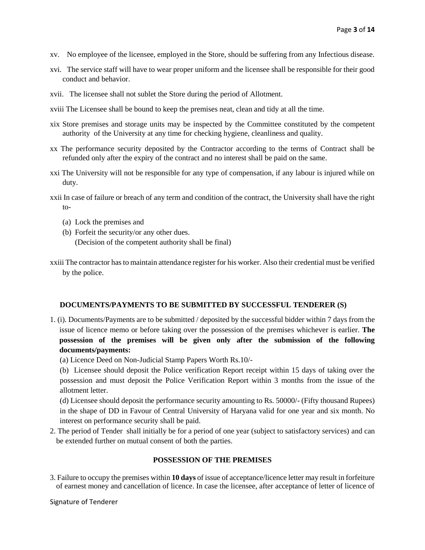- xv. No employee of the licensee, employed in the Store, should be suffering from any Infectious disease.
- xvi. The service staff will have to wear proper uniform and the licensee shall be responsible for their good conduct and behavior.
- xvii. The licensee shall not sublet the Store during the period of Allotment.
- xviii The Licensee shall be bound to keep the premises neat, clean and tidy at all the time.
- xix Store premises and storage units may be inspected by the Committee constituted by the competent authority of the University at any time for checking hygiene, cleanliness and quality.
- xx The performance security deposited by the Contractor according to the terms of Contract shall be refunded only after the expiry of the contract and no interest shall be paid on the same.
- xxi The University will not be responsible for any type of compensation, if any labour is injured while on duty.
- xxii In case of failure or breach of any term and condition of the contract, the University shall have the right to-
	- (a) Lock the premises and
	- (b) Forfeit the security/or any other dues. (Decision of the competent authority shall be final)
- xxiii The contractor has to maintain attendance register for his worker. Also their credential must be verified by the police.

#### **DOCUMENTS/PAYMENTS TO BE SUBMITTED BY SUCCESSFUL TENDERER (S)**

- 1. (i). Documents/Payments are to be submitted / deposited by the successful bidder within 7 days from the issue of licence memo or before taking over the possession of the premises whichever is earlier. **The possession of the premises will be given only after the submission of the following documents/payments:** 
	- (a) Licence Deed on Non-Judicial Stamp Papers Worth Rs.10/-

(b) Licensee should deposit the Police verification Report receipt within 15 days of taking over the possession and must deposit the Police Verification Report within 3 months from the issue of the allotment letter.

(d) Licensee should deposit the performance security amounting to Rs. 50000/- (Fifty thousand Rupees) in the shape of DD in Favour of Central University of Haryana valid for one year and six month. No interest on performance security shall be paid.

2. The period of Tender shall initially be for a period of one year (subject to satisfactory services) and can be extended further on mutual consent of both the parties.

#### **POSSESSION OF THE PREMISES**

3. Failure to occupy the premises within **10 days** of issue of acceptance/licence letter may result in forfeiture of earnest money and cancellation of licence. In case the licensee, after acceptance of letter of licence of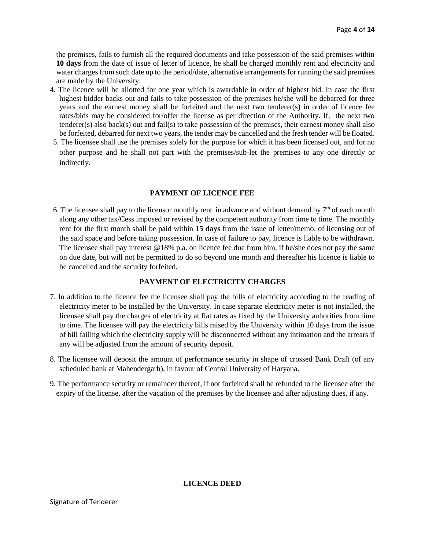the premises, fails to furnish all the required documents and take possession of the said premises within **10 days** from the date of issue of letter of licence, he shall be charged monthly rent and electricity and water charges from such date up to the period/date, alternative arrangements for running the said premises are made by the University.

- 4. The licence will be allotted for one year which is awardable in order of highest bid. In case the first highest bidder backs out and fails to take possession of the premises he/she will be debarred for three years and the earnest money shall be forfeited and the next two tenderer(s) in order of licence fee rates/bids may be considered for/offer the license as per direction of the Authority. If, the next two tenderer(s) also back(s) out and fail(s) to take possession of the premises, their earnest money shall also be forfeited, debarred for next two years, the tender may be cancelled and the fresh tender will be floated.
- 5. The licensee shall use the premises solely for the purpose for which it has been licensed out, and for no other purpose and he shall not part with the premises/sub-let the premises to any one directly or indirectly.

#### **PAYMENT OF LICENCE FEE**

6. The licensee shall pay to the licensor monthly rent in advance and without demand by  $7<sup>th</sup>$  of each month along any other tax/Cess imposed or revised by the competent authority from time to time. The monthly rent for the first month shall be paid within **15 days** from the issue of letter/memo. of licensing out of the said space and before taking possession. In case of failure to pay, licence is liable to be withdrawn. The licensee shall pay interest @18% p.a. on licence fee due from him, if he/she does not pay the same on due date, but will not be permitted to do so beyond one month and thereafter his licence is liable to be cancelled and the security forfeited.

#### **PAYMENT OF ELECTRICITY CHARGES**

- 7. In addition to the licence fee the licensee shall pay the bills of electricity according to the reading of electricity meter to be installed by the University. In case separate electricity meter is not installed, the licensee shall pay the charges of electricity at flat rates as fixed by the University auhorities from time to time. The licensee will pay the electricity bills raised by the University within 10 days from the issue of bill failing which the electricity supply will be disconnected without any intimation and the arrears if any will be adjusted from the amount of security deposit.
- 8. The licensee will deposit the amount of performance security in shape of crossed Bank Draft (of any scheduled bank at Mahendergarh), in favour of Central University of Haryana.
- 9. The performance security or remainder thereof, if not forfeited shall be refunded to the licensee after the expiry of the license, after the vacation of the premises by the licensee and after adjusting dues, if any.

#### **LICENCE DEED**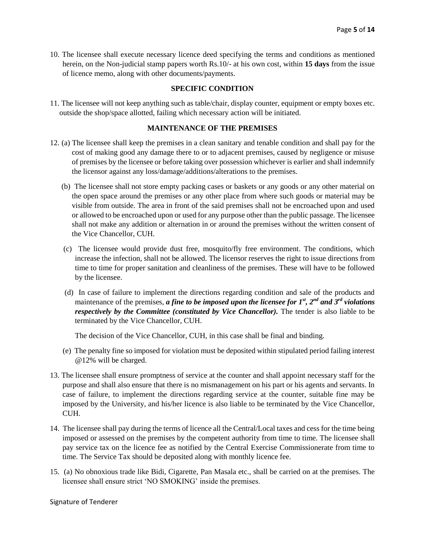10. The licensee shall execute necessary licence deed specifying the terms and conditions as mentioned herein, on the Non-judicial stamp papers worth Rs.10/- at his own cost, within **15 days** from the issue of licence memo, along with other documents/payments.

### **SPECIFIC CONDITION**

11. The licensee will not keep anything such as table/chair, display counter, equipment or empty boxes etc. outside the shop/space allotted, failing which necessary action will be initiated.

### **MAINTENANCE OF THE PREMISES**

- 12. (a) The licensee shall keep the premises in a clean sanitary and tenable condition and shall pay for the cost of making good any damage there to or to adjacent premises, caused by negligence or misuse of premises by the licensee or before taking over possession whichever is earlier and shall indemnify the licensor against any loss/damage/additions/alterations to the premises.
	- (b) The licensee shall not store empty packing cases or baskets or any goods or any other material on the open space around the premises or any other place from where such goods or material may be visible from outside. The area in front of the said premises shall not be encroached upon and used or allowed to be encroached upon or used for any purpose other than the public passage. The licensee shall not make any addition or alternation in or around the premises without the written consent of the Vice Chancellor, CUH.
	- (c) The licensee would provide dust free, mosquito/fly free environment. The conditions, which increase the infection, shall not be allowed. The licensor reserves the right to issue directions from time to time for proper sanitation and cleanliness of the premises. These will have to be followed by the licensee.
	- (d) In case of failure to implement the directions regarding condition and sale of the products and maintenance of the premises, *a fine to be imposed upon the licensee for 1st, 2nd and 3rd violations respectively by the Committee (constituted by Vice Chancellor)*. The tender is also liable to be terminated by the Vice Chancellor, CUH.

The decision of the Vice Chancellor, CUH, in this case shall be final and binding.

- (e) The penalty fine so imposed for violation must be deposited within stipulated period failing interest @12% will be charged.
- 13. The licensee shall ensure promptness of service at the counter and shall appoint necessary staff for the purpose and shall also ensure that there is no mismanagement on his part or his agents and servants. In case of failure, to implement the directions regarding service at the counter, suitable fine may be imposed by the University, and his/her licence is also liable to be terminated by the Vice Chancellor, CUH.
- 14. The licensee shall pay during the terms of licence all the Central/Local taxes and cess for the time being imposed or assessed on the premises by the competent authority from time to time. The licensee shall pay service tax on the licence fee as notified by the Central Exercise Commissionerate from time to time. The Service Tax should be deposited along with monthly licence fee.
- 15. (a) No obnoxious trade like Bidi, Cigarette, Pan Masala etc., shall be carried on at the premises. The licensee shall ensure strict 'NO SMOKING' inside the premises.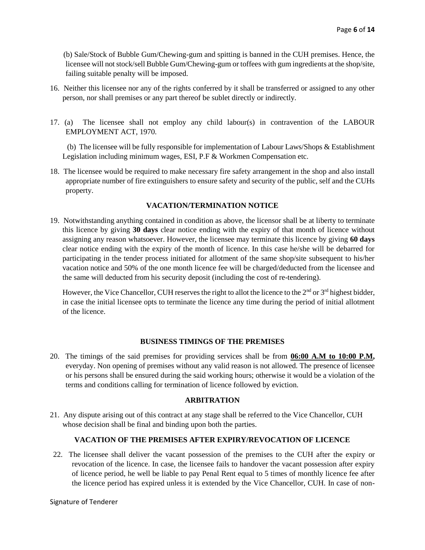(b) Sale/Stock of Bubble Gum/Chewing-gum and spitting is banned in the CUH premises. Hence, the licensee will not stock/sell Bubble Gum/Chewing-gum or toffees with gum ingredients at the shop/site, failing suitable penalty will be imposed.

- 16. Neither this licensee nor any of the rights conferred by it shall be transferred or assigned to any other person, nor shall premises or any part thereof be sublet directly or indirectly.
- 17. (a) The licensee shall not employ any child labour(s) in contravention of the LABOUR EMPLOYMENT ACT, 1970.

 (b) The licensee will be fully responsible for implementation of Labour Laws/Shops & Establishment Legislation including minimum wages, ESI, P.F & Workmen Compensation etc.

18. The licensee would be required to make necessary fire safety arrangement in the shop and also install appropriate number of fire extinguishers to ensure safety and security of the public, self and the CUHs property.

### **VACATION/TERMINATION NOTICE**

19. Notwithstanding anything contained in condition as above, the licensor shall be at liberty to terminate this licence by giving **30 days** clear notice ending with the expiry of that month of licence without assigning any reason whatsoever. However, the licensee may terminate this licence by giving **60 days** clear notice ending with the expiry of the month of licence. In this case he/she will be debarred for participating in the tender process initiated for allotment of the same shop/site subsequent to his/her vacation notice and 50% of the one month licence fee will be charged/deducted from the licensee and the same will deducted from his security deposit (including the cost of re-tendering).

However, the Vice Chancellor, CUH reserves the right to allot the licence to the  $2<sup>nd</sup>$  or  $3<sup>rd</sup>$  highest bidder, in case the initial licensee opts to terminate the licence any time during the period of initial allotment of the licence.

### **BUSINESS TIMINGS OF THE PREMISES**

20. The timings of the said premises for providing services shall be from **06:00 A.M to 10:00 P.M,** everyday. Non opening of premises without any valid reason is not allowed. The presence of licensee or his persons shall be ensured during the said working hours; otherwise it would be a violation of the terms and conditions calling for termination of licence followed by eviction.

#### **ARBITRATION**

21. Any dispute arising out of this contract at any stage shall be referred to the Vice Chancellor, CUH whose decision shall be final and binding upon both the parties.

## **VACATION OF THE PREMISES AFTER EXPIRY/REVOCATION OF LICENCE**

22. The licensee shall deliver the vacant possession of the premises to the CUH after the expiry or revocation of the licence. In case, the licensee fails to handover the vacant possession after expiry of licence period, he well be liable to pay Penal Rent equal to 5 times of monthly licence fee after the licence period has expired unless it is extended by the Vice Chancellor, CUH. In case of non-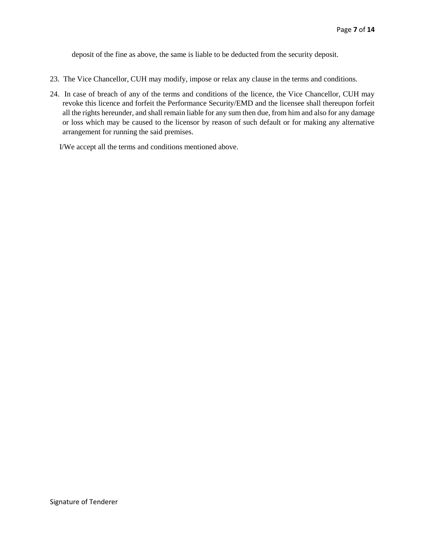deposit of the fine as above, the same is liable to be deducted from the security deposit.

- 23. The Vice Chancellor, CUH may modify, impose or relax any clause in the terms and conditions.
- 24. In case of breach of any of the terms and conditions of the licence, the Vice Chancellor, CUH may revoke this licence and forfeit the Performance Security/EMD and the licensee shall thereupon forfeit all the rights hereunder, and shall remain liable for any sum then due, from him and also for any damage or loss which may be caused to the licensor by reason of such default or for making any alternative arrangement for running the said premises.

I/We accept all the terms and conditions mentioned above.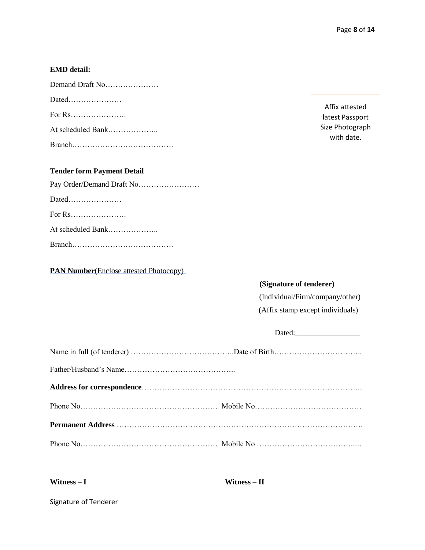# **EMD detail:**

| Demand Draft No   |
|-------------------|
| Dated             |
|                   |
| At scheduled Bank |
|                   |

# **Tender form Payment Detail**

| At scheduled Bank |
|-------------------|
|                   |

**PAN Number**(Enclose attested Photocopy)

Affix attested latest Passport Size Photograph with date.

# **(Signature of tenderer)**

(Individual/Firm/company/other)

(Affix stamp except individuals)

| Dated: |
|--------|
|        |
|        |
|        |
|        |
|        |
|        |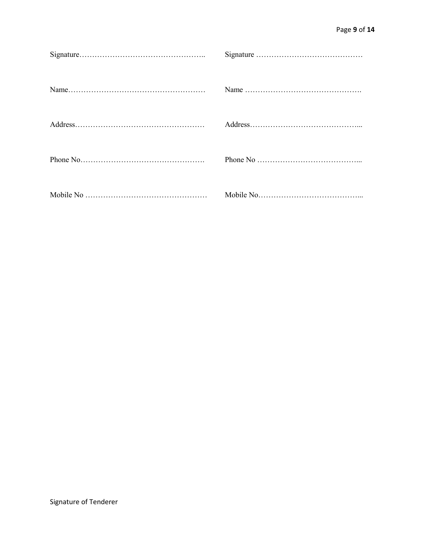| Phone No $\dots \dots \dots \dots \dots \dots \dots \dots \dots \dots \dots$ |
|------------------------------------------------------------------------------|
|                                                                              |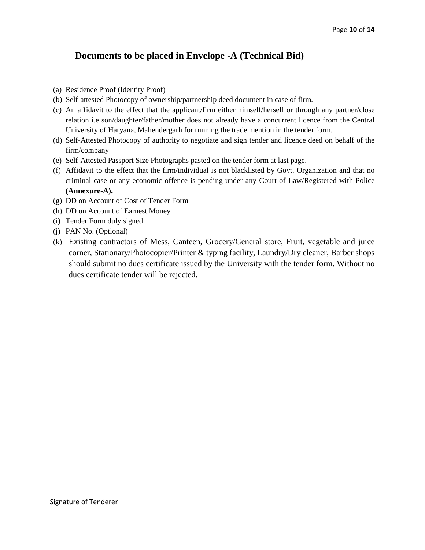# **Documents to be placed in Envelope -A (Technical Bid)**

- (a) Residence Proof (Identity Proof)
- (b) Self-attested Photocopy of ownership/partnership deed document in case of firm.
- (c) An affidavit to the effect that the applicant/firm either himself/herself or through any partner/close relation i.e son/daughter/father/mother does not already have a concurrent licence from the Central University of Haryana, Mahendergarh for running the trade mention in the tender form.
- (d) Self-Attested Photocopy of authority to negotiate and sign tender and licence deed on behalf of the firm/company
- (e) Self-Attested Passport Size Photographs pasted on the tender form at last page.
- (f) Affidavit to the effect that the firm/individual is not blacklisted by Govt. Organization and that no criminal case or any economic offence is pending under any Court of Law/Registered with Police **(Annexure-A).**
- (g) DD on Account of Cost of Tender Form
- (h) DD on Account of Earnest Money
- (i) Tender Form duly signed
- (j) PAN No. (Optional)
- (k) Existing contractors of Mess, Canteen, Grocery/General store, Fruit, vegetable and juice corner, Stationary/Photocopier/Printer & typing facility, Laundry/Dry cleaner, Barber shops should submit no dues certificate issued by the University with the tender form. Without no dues certificate tender will be rejected.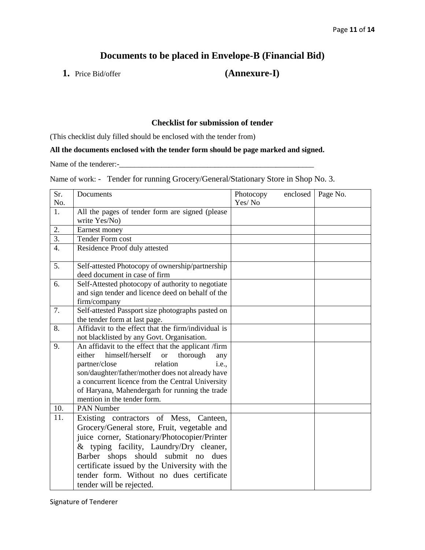# **Documents to be placed in Envelope-B (Financial Bid)**

**1.** Price Bid/offer **(Annexure-I)**

## **Checklist for submission of tender**

(This checklist duly filled should be enclosed with the tender from)

# **All the documents enclosed with the tender form should be page marked and signed.**

Name of the tenderer:-\_\_\_\_\_\_\_\_\_\_\_\_\_\_\_\_\_\_\_\_\_\_\_\_\_\_\_\_\_\_\_\_\_\_\_\_\_\_\_\_\_\_\_\_\_\_\_\_\_\_\_

Name of work: - Tender for running Grocery/General/Stationary Store in Shop No. 3.

| Sr.<br>No.       | Documents                                                                                                                                                                                                                                                                                                                                                    | Photocopy<br>Yes/No | enclosed | Page No. |
|------------------|--------------------------------------------------------------------------------------------------------------------------------------------------------------------------------------------------------------------------------------------------------------------------------------------------------------------------------------------------------------|---------------------|----------|----------|
| 1.               | All the pages of tender form are signed (please                                                                                                                                                                                                                                                                                                              |                     |          |          |
|                  | write Yes/No)                                                                                                                                                                                                                                                                                                                                                |                     |          |          |
| 2.               | Earnest money                                                                                                                                                                                                                                                                                                                                                |                     |          |          |
| $\overline{3}$ . | <b>Tender Form cost</b>                                                                                                                                                                                                                                                                                                                                      |                     |          |          |
| $\overline{4}$ . | Residence Proof duly attested                                                                                                                                                                                                                                                                                                                                |                     |          |          |
| 5.               | Self-attested Photocopy of ownership/partnership<br>deed document in case of firm                                                                                                                                                                                                                                                                            |                     |          |          |
| 6.               | Self-Attested photocopy of authority to negotiate<br>and sign tender and licence deed on behalf of the<br>firm/company                                                                                                                                                                                                                                       |                     |          |          |
| 7.               | Self-attested Passport size photographs pasted on<br>the tender form at last page.                                                                                                                                                                                                                                                                           |                     |          |          |
| 8.               | Affidavit to the effect that the firm/individual is<br>not blacklisted by any Govt. Organisation.                                                                                                                                                                                                                                                            |                     |          |          |
| 9.               | An affidavit to the effect that the applicant /firm<br>himself/herself<br>either<br>thorough<br><b>or</b><br>any<br>partner/close<br>relation<br><i>i.e.</i> ,<br>son/daughter/father/mother does not already have<br>a concurrent licence from the Central University<br>of Haryana, Mahendergarh for running the trade<br>mention in the tender form.      |                     |          |          |
| 10.              | <b>PAN Number</b>                                                                                                                                                                                                                                                                                                                                            |                     |          |          |
| 11.              | Existing contractors of Mess, Canteen,<br>Grocery/General store, Fruit, vegetable and<br>juice corner, Stationary/Photocopier/Printer<br>& typing facility, Laundry/Dry cleaner,<br>shops should submit no<br><b>Barber</b><br>dues<br>certificate issued by the University with the<br>tender form. Without no dues certificate<br>tender will be rejected. |                     |          |          |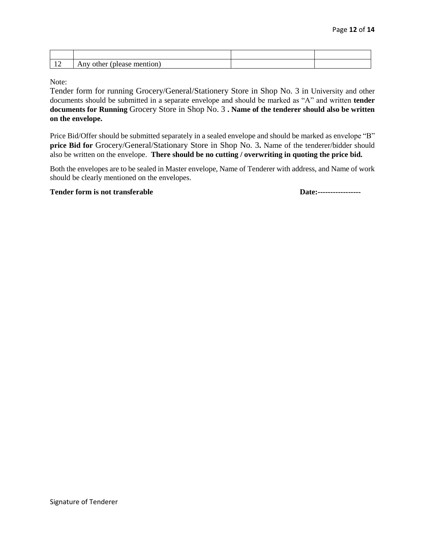| $\overline{\phantom{a}}$<br>$\overline{\phantom{0}}$ | mention<br>12.327<br>- ^ +   ^ ^ + *<br>ouier<br><b>All</b> |  |
|------------------------------------------------------|-------------------------------------------------------------|--|

Note:

Tender form for running Grocery/General/Stationery Store in Shop No. 3 in University and other documents should be submitted in a separate envelope and should be marked as "A" and written **tender documents for Running** Grocery Store in Shop No. 3 **. Name of the tenderer should also be written on the envelope.**

Price Bid/Offer should be submitted separately in a sealed envelope and should be marked as envelope "B" **price Bid for** Grocery/General/Stationary Store in Shop No. 3**.** Name of the tenderer/bidder should also be written on the envelope. **There should be no cutting / overwriting in quoting the price bid.**

Both the envelopes are to be sealed in Master envelope, Name of Tenderer with address, and Name of work should be clearly mentioned on the envelopes.

#### **Tender form is not transferable Date:-----------------**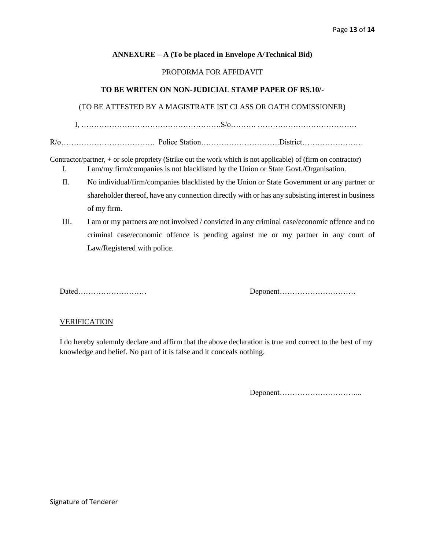### **ANNEXURE – A (To be placed in Envelope A/Technical Bid)**

#### PROFORMA FOR AFFIDAVIT

#### **TO BE WRITEN ON NON-JUDICIAL STAMP PAPER OF RS.10/-**

### (TO BE ATTESTED BY A MAGISTRATE IST CLASS OR OATH COMISSIONER)

I, ……………………………………………….S/o………. …………………………………

R/o………………………………. Police Station………………………….District……………………

Contractor/partner, + or sole propriety (Strike out the work which is not applicable) of (firm on contractor) I. I am/my firm/companies is not blacklisted by the Union or State Govt./Organisation.

- II. No individual/firm/companies blacklisted by the Union or State Government or any partner or shareholder thereof, have any connection directly with or has any subsisting interest in business of my firm.
- III. I am or my partners are not involved / convicted in any criminal case/economic offence and no criminal case/economic offence is pending against me or my partner in any court of Law/Registered with police.

Dated……………………… Deponent…………………………

#### **VERIFICATION**

I do hereby solemnly declare and affirm that the above declaration is true and correct to the best of my knowledge and belief. No part of it is false and it conceals nothing.

Deponent…………………………...